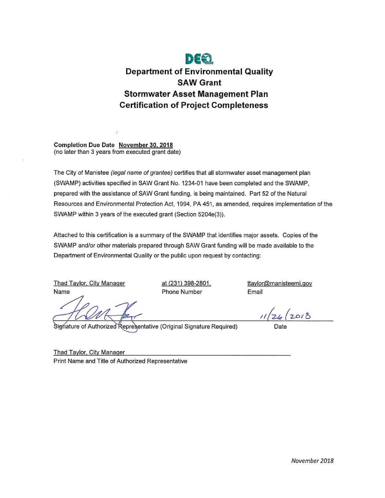

Completion Due Date November 30, 2018 (no later than 3 years from executed grant date)

The City of Manistee (legal name of grantee) certifies that all stormwater asset management plan (SWAMP) activities specified in SAW Grant No. 1234-01 have been completed and the SWAMP, prepared with the assistance of SAW Grant funding, is being maintained. Part 52 of the Natural Resources and Environmental Protection Act, 1994, PA 451, as amended, requires implementation of the SWAMP within 3 years of the executed grant (Section 5204e(3)).

Attached to this certification is a summary of the SWAMP that identifies major assets. Copies of the SWAMP and/or other materials prepared through SAW Grant funding will be made available to the Department of Environmental Quality or the public upon request by contacting:

**Thad Taylor, City Manager** Name

at (231) 398-2801, **Phone Number** 

ttaylor@manisteemi.gov Email

 $26(2018)$ 

Signature of Authorized Representative (Original Signature Required)

**Thad Taylor, City Manager** Print Name and Title of Authorized Representative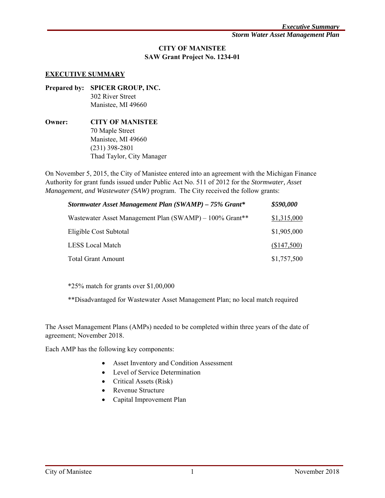# **CITY OF MANISTEE SAW Grant Project No. 1234-01**

#### **EXECUTIVE SUMMARY**

- **Prepared by: SPICER GROUP, INC.** 302 River Street Manistee, MI 49660
- **Owner: CITY OF MANISTEE**  70 Maple Street Manistee, MI 49660 (231) 398-2801 Thad Taylor, City Manager

On November 5, 2015, the City of Manistee entered into an agreement with the Michigan Finance Authority for grant funds issued under Public Act No. 511 of 2012 for the *Stormwater, Asset Management, and Wastewater (SAW)* program. The City received the follow grants:

| Stormwater Asset Management Plan (SWAMP) – 75% Grant*   | \$590,000   |
|---------------------------------------------------------|-------------|
| Wastewater Asset Management Plan (SWAMP) – 100% Grant** | \$1,315,000 |
| Eligible Cost Subtotal                                  | \$1,905,000 |
| LESS Local Match                                        | (\$147,500) |
| <b>Total Grant Amount</b>                               | \$1,757,500 |

\*25% match for grants over \$1,00,000

\*\*Disadvantaged for Wastewater Asset Management Plan; no local match required

The Asset Management Plans (AMPs) needed to be completed within three years of the date of agreement; November 2018.

Each AMP has the following key components:

- Asset Inventory and Condition Assessment
- Level of Service Determination
- Critical Assets (Risk)
- Revenue Structure
- Capital Improvement Plan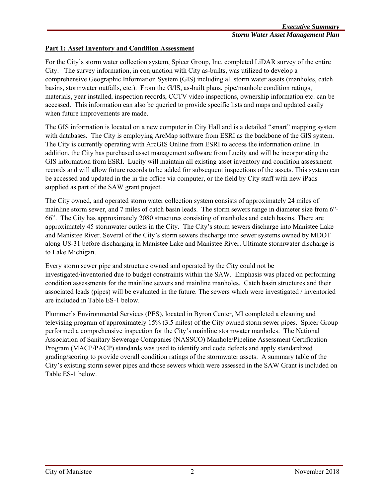### **Part 1: Asset Inventory and Condition Assessment**

For the City's storm water collection system, Spicer Group, Inc. completed LiDAR survey of the entire City. The survey information, in conjunction with City as-builts, was utilized to develop a comprehensive Geographic Information System (GIS) including all storm water assets (manholes, catch basins, stormwater outfalls, etc.). From the G/IS, as-built plans, pipe/manhole condition ratings, materials, year installed, inspection records, CCTV video inspections, ownership information etc. can be accessed. This information can also be queried to provide specific lists and maps and updated easily when future improvements are made.

The GIS information is located on a new computer in City Hall and is a detailed "smart" mapping system with databases. The City is employing ArcMap software from ESRI as the backbone of the GIS system. The City is currently operating with ArcGIS Online from ESRI to access the information online. In addition, the City has purchased asset management software from Lucity and will be incorporating the GIS information from ESRI. Lucity will maintain all existing asset inventory and condition assessment records and will allow future records to be added for subsequent inspections of the assets. This system can be accessed and updated in the in the office via computer, or the field by City staff with new iPads supplied as part of the SAW grant project.

The City owned, and operated storm water collection system consists of approximately 24 miles of mainline storm sewer, and 7 miles of catch basin leads. The storm sewers range in diameter size from 6"- 66". The City has approximately 2080 structures consisting of manholes and catch basins. There are approximately 45 stormwater outlets in the City. The City's storm sewers discharge into Manistee Lake and Manistee River. Several of the City's storm sewers discharge into sewer systems owned by MDOT along US-31 before discharging in Manistee Lake and Manistee River. Ultimate stormwater discharge is to Lake Michigan.

Every storm sewer pipe and structure owned and operated by the City could not be investigated/inventoried due to budget constraints within the SAW. Emphasis was placed on performing condition assessments for the mainline sewers and mainline manholes. Catch basin structures and their associated leads (pipes) will be evaluated in the future. The sewers which were investigated / inventoried are included in Table ES-1 below.

Plummer's Environmental Services (PES), located in Byron Center, MI completed a cleaning and televising program of approximately 15% (3.5 miles) of the City owned storm sewer pipes. Spicer Group performed a comprehensive inspection for the City's mainline stormwater manholes. The National Association of Sanitary Sewerage Companies (NASSCO) Manhole/Pipeline Assessment Certification Program (MACP/PACP) standards was used to identify and code defects and apply standardized grading/scoring to provide overall condition ratings of the stormwater assets. A summary table of the City's existing storm sewer pipes and those sewers which were assessed in the SAW Grant is included on Table ES-1 below.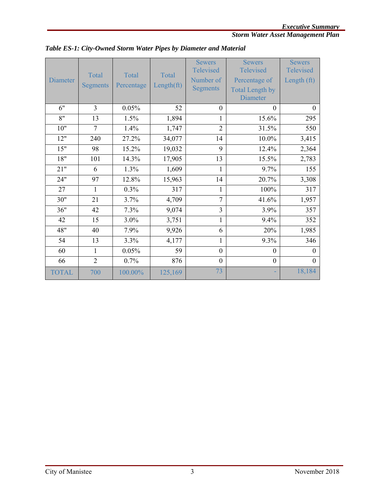# *Storm Water Asset Management Plan*

| <b>Diameter</b> | Total<br><b>Segments</b> | Total<br>Percentage | Total<br>Length(ft) | <b>Sewers</b><br>Televised<br>Number of<br><b>Segments</b> | <b>Sewers</b><br>Televised<br>Percentage of<br><b>Total Length by</b><br><b>Diameter</b> | <b>Sewers</b><br>Televised<br>Length (ft) |
|-----------------|--------------------------|---------------------|---------------------|------------------------------------------------------------|------------------------------------------------------------------------------------------|-------------------------------------------|
| 6"              | 3                        | 0.05%               | 52                  | $\theta$                                                   | $\theta$                                                                                 | $\boldsymbol{0}$                          |
| 8"              | 13                       | 1.5%                | 1,894               | $\mathbf{1}$                                               | 15.6%                                                                                    | 295                                       |
| 10"             | $\overline{7}$           | 1.4%                | 1,747               | $\overline{2}$                                             | 31.5%                                                                                    | 550                                       |
| 12"             | 240                      | 27.2%               | 34,077              | 14                                                         | 10.0%                                                                                    | 3,415                                     |
| 15"             | 98                       | 15.2%               | 19,032              | 9                                                          | 12.4%                                                                                    | 2,364                                     |
| 18"             | 101                      | 14.3%               | 17,905              | 13                                                         | 15.5%                                                                                    | 2,783                                     |
| 21"             | 6                        | 1.3%                | 1,609               | $\mathbf{1}$                                               | 9.7%                                                                                     | 155                                       |
| 24"             | 97                       | 12.8%               | 15,963              | 14                                                         | 20.7%                                                                                    | 3,308                                     |
| 27              | $\mathbf{1}$             | 0.3%                | 317                 | 1                                                          | 100%                                                                                     | 317                                       |
| 30"             | 21                       | 3.7%                | 4,709               | 7                                                          | 41.6%                                                                                    | 1,957                                     |
| 36"             | 42                       | 7.3%                | 9,074               | 3                                                          | 3.9%                                                                                     | 357                                       |
| 42              | 15                       | 3.0%                | 3,751               | 1                                                          | 9.4%                                                                                     | 352                                       |
| 48"             | 40                       | 7.9%                | 9,926               | 6                                                          | 20%                                                                                      | 1,985                                     |
| 54              | 13                       | 3.3%                | 4,177               | 1                                                          | 9.3%                                                                                     | 346                                       |
| 60              | 1                        | 0.05%               | 59                  | $\mathbf{0}$                                               | $\theta$                                                                                 | $\Omega$                                  |
| 66              | $\overline{2}$           | 0.7%                | 876                 | $\mathbf{0}$                                               | $\mathbf{0}$                                                                             | $\theta$                                  |
| <b>TOTAL</b>    | 700                      | 100.00%             | 125,169             | 73                                                         |                                                                                          | 18,184                                    |

*Table ES-1: City-Owned Storm Water Pipes by Diameter and Material*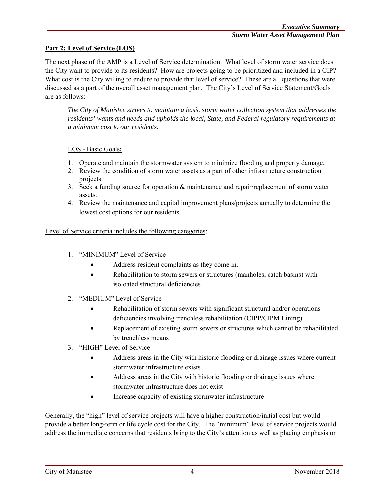## **Part 2: Level of Service (LOS)**

The next phase of the AMP is a Level of Service determination. What level of storm water service does the City want to provide to its residents? How are projects going to be prioritized and included in a CIP? What cost is the City willing to endure to provide that level of service? These are all questions that were discussed as a part of the overall asset management plan. The City's Level of Service Statement/Goals are as follows:

*The City of Manistee strives to maintain a basic storm water collection system that addresses the residents' wants and needs and upholds the local, State, and Federal regulatory requirements at a minimum cost to our residents.* 

### LOS - Basic Goals**:**

- 1. Operate and maintain the stormwater system to minimize flooding and property damage.
- 2. Review the condition of storm water assets as a part of other infrastructure construction projects.
- 3. Seek a funding source for operation & maintenance and repair/replacement of storm water assets.
- 4. Review the maintenance and capital improvement plans/projects annually to determine the lowest cost options for our residents.

#### Level of Service criteria includes the following categories:

- 1. "MINIMUM" Level of Service
	- Address resident complaints as they come in.
	- Rehabilitation to storm sewers or structures (manholes, catch basins) with isoloated structural deficiencies
- 2. "MEDIUM" Level of Service
	- Rehabilitation of storm sewers with significant structural and/or operations deficiencies involving trenchless rehabilitation (CIPP/CIPM Lining)
	- Replacement of existing storm sewers or structures which cannot be rehabilitated by trenchless means
- 3. "HIGH" Level of Service
	- Address areas in the City with historic flooding or drainage issues where current stormwater infrastructure exists
	- Address areas in the City with historic flooding or drainage issues where stormwater infrastructure does not exist
	- Increase capacity of existing stormwater infrastructure

Generally, the "high" level of service projects will have a higher construction/initial cost but would provide a better long-term or life cycle cost for the City. The "minimum" level of service projects would address the immediate concerns that residents bring to the City's attention as well as placing emphasis on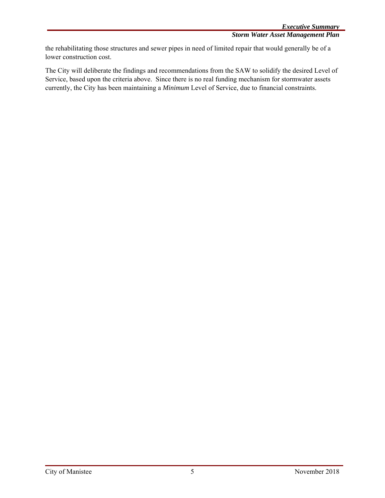the rehabilitating those structures and sewer pipes in need of limited repair that would generally be of a lower construction cost.

The City will deliberate the findings and recommendations from the SAW to solidify the desired Level of Service, based upon the criteria above. Since there is no real funding mechanism for stormwater assets currently, the City has been maintaining a *Minimum* Level of Service, due to financial constraints.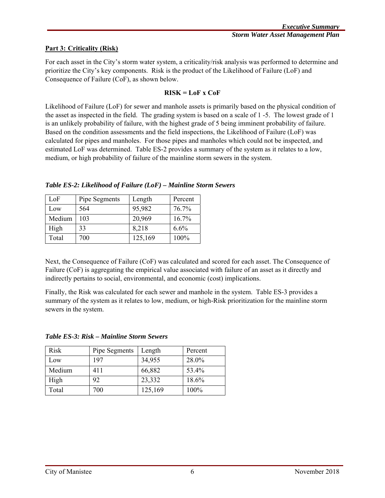## **Part 3: Criticality (Risk)**

For each asset in the City's storm water system, a criticality/risk analysis was performed to determine and prioritize the City's key components. Risk is the product of the Likelihood of Failure (LoF) and Consequence of Failure (CoF), as shown below.

### **RISK = LoF x CoF**

Likelihood of Failure (LoF) for sewer and manhole assets is primarily based on the physical condition of the asset as inspected in the field. The grading system is based on a scale of 1 -5. The lowest grade of 1 is an unlikely probability of failure, with the highest grade of 5 being imminent probability of failure. Based on the condition assessments and the field inspections, the Likelihood of Failure (LoF) was calculated for pipes and manholes. For those pipes and manholes which could not be inspected, and estimated LoF was determined. Table ES-2 provides a summary of the system as it relates to a low, medium, or high probability of failure of the mainline storm sewers in the system.

*Table ES-2: Likelihood of Failure (LoF) – Mainline Storm Sewers* 

| LoF    | Pipe Segments | Length  | Percent  |
|--------|---------------|---------|----------|
| Low    | 564           | 95,982  | 76.7%    |
| Medium | 103           | 20,969  | $16.7\%$ |
| High   | 33            | 8,218   | 6.6%     |
| Total  | 700           | 125,169 | 100%     |

Next, the Consequence of Failure (CoF) was calculated and scored for each asset. The Consequence of Failure (CoF) is aggregating the empirical value associated with failure of an asset as it directly and indirectly pertains to social, environmental, and economic (cost) implications.

Finally, the Risk was calculated for each sewer and manhole in the system. Table ES-3 provides a summary of the system as it relates to low, medium, or high-Risk prioritization for the mainline storm sewers in the system.

| Risk   | Pipe Segments | Length  | Percent |
|--------|---------------|---------|---------|
| Low    | 197           | 34,955  | 28.0%   |
| Medium | 411           | 66,882  | 53.4%   |
| High   | 92            | 23,332  | 18.6%   |
| Total  | 700           | 125,169 | 100%    |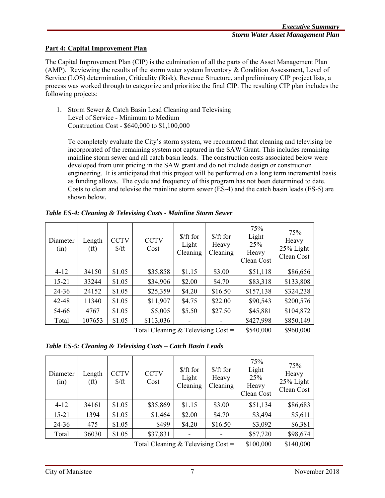### **Part 4: Capital Improvement Plan**

The Capital Improvement Plan (CIP) is the culmination of all the parts of the Asset Management Plan (AMP). Reviewing the results of the storm water system Inventory & Condition Assessment, Level of Service (LOS) determination, Criticality (Risk), Revenue Structure, and preliminary CIP project lists, a process was worked through to categorize and prioritize the final CIP. The resulting CIP plan includes the following projects:

1. Storm Sewer & Catch Basin Lead Cleaning and Televising Level of Service - Minimum to Medium Construction Cost - \$640,000 to \$1,100,000

To completely evaluate the City's storm system, we recommend that cleaning and televising be incorporated of the remaining system not captured in the SAW Grant. This includes remaining mainline storm sewer and all catch basin leads. The construction costs associated below were developed from unit pricing in the SAW grant and do not include design or construction engineering. It is anticipated that this project will be performed on a long term incremental basis as funding allows. The cycle and frequency of this program has not been determined to date. Costs to clean and televise the mainline storm sewer (ES-4) and the catch basin leads (ES-5) are shown below.

| Table ES-4: Cleaning & Televising Costs - Mainline Storm Sewer |  |  |  |
|----------------------------------------------------------------|--|--|--|
|                                                                |  |  |  |

| Diameter<br>(in) | Length<br>(f <sup>t</sup> ) | <b>CCTV</b><br>$\frac{\int f(t)}{2}$ | <b>CCTV</b><br>Cost | $$/ft$ for<br>Light<br>Cleaning | $$/ft$ for<br>Heavy<br>Cleaning | 75%<br>Light<br>25%<br>Heavy<br>Clean Cost | 75%<br>Heavy<br>25% Light<br>Clean Cost |
|------------------|-----------------------------|--------------------------------------|---------------------|---------------------------------|---------------------------------|--------------------------------------------|-----------------------------------------|
| $4 - 12$         | 34150                       | \$1.05                               | \$35,858            | \$1.15                          | \$3.00                          | \$51,118                                   | \$86,656                                |
| $15 - 21$        | 33244                       | \$1.05                               | \$34,906            | \$2.00                          | \$4.70                          | \$83,318                                   | \$133,808                               |
| $24 - 36$        | 24152                       | \$1.05                               | \$25,359            | \$4.20                          | \$16.50                         | \$157,138                                  | \$324,238                               |
| 42-48            | 11340                       | \$1.05                               | \$11,907            | \$4.75                          | \$22.00                         | \$90,543                                   | \$200,576                               |
| 54-66            | 4767                        | \$1.05                               | \$5,005             | \$5.50                          | \$27.50                         | \$45,881                                   | \$104,872                               |
| Total            | 107653                      | \$1.05                               | \$113,036           | ۰                               |                                 | \$427,998                                  | \$850,149                               |
|                  |                             | 051000                               | 0.60000             |                                 |                                 |                                            |                                         |

Total Cleaning  $\&$  Televising Cost =  $$540,000$   $$960,000$ 

| Table ES-5: Cleaning & Televising Costs - Catch Basin Leads |  |
|-------------------------------------------------------------|--|
|-------------------------------------------------------------|--|

| Diameter<br>(in) | Length<br>(f <sup>t</sup> ) | <b>CCTV</b><br>$\frac{\int f}{\int f}$ | <b>CCTV</b><br>Cost | $$/ft$ for<br>Light<br>Cleaning | $$/ft$ for<br>Heavy<br>Cleaning | 75%<br>Light<br>25%<br>Heavy<br>Clean Cost | 75%<br>Heavy<br>25% Light<br>Clean Cost |
|------------------|-----------------------------|----------------------------------------|---------------------|---------------------------------|---------------------------------|--------------------------------------------|-----------------------------------------|
| $4 - 12$         | 34161                       | \$1.05                                 | \$35,869            | \$1.15                          | \$3.00                          | \$51,134                                   | \$86,683                                |
| $15 - 21$        | 1394                        | \$1.05                                 | \$1,464             | \$2.00                          | \$4.70                          | \$3,494                                    | \$5,611                                 |
| $24 - 36$        | 475                         | \$1.05                                 | \$499               | \$4.20                          | \$16.50                         | \$3,092                                    | \$6,381                                 |
| Total            | 36030                       | \$1.05                                 | \$37,831            |                                 |                                 | \$57,720                                   | \$98,674                                |
|                  |                             |                                        | $T_1$ , $1 \cap 1$  | $0 \pi 1$                       | $\sim$ $\sim$                   | 0.100000                                   | 0110000                                 |

Total Cleaning  $&$  Televising Cost =  $$100,000$   $$140,000$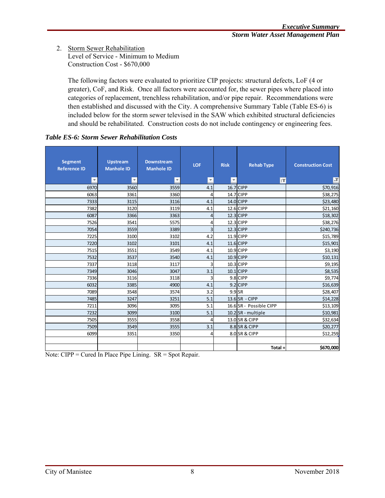#### 2. Storm Sewer Rehabilitation Level of Service - Minimum to Medium Construction Cost - \$670,000

The following factors were evaluated to prioritize CIP projects: structural defects, LoF (4 or greater), CoF, and Risk. Once all factors were accounted for, the sewer pipes where placed into categories of replacement, trenchless rehabilitation, and/or pipe repair. Recommendations were then established and discussed with the City. A comprehensive Summary Table (Table ES-6) is included below for the storm sewer televised in the SAW which exhibited structural deficiencies and should be rehabilitated. Construction costs do not include contingency or engineering fees.

| <b>Segment</b><br><b>Reference ID</b> | <b>Upstream</b><br><b>Manhole ID</b> | <b>Downstream</b><br><b>Manhole ID</b> | LOF            | <b>Risk</b> | <b>Rehab Type</b>       | <b>Construction Cost</b> |
|---------------------------------------|--------------------------------------|----------------------------------------|----------------|-------------|-------------------------|--------------------------|
| $\overline{\mathbf v}$                | $\overline{\mathbf v}$               | $\overline{\mathbf{v}}$                | v              |             | <b>IT</b>               | ĮТ                       |
| 6970                                  | 3560                                 | 3559                                   | 4.1            |             | 16.7 CIPP               | \$70,916                 |
| 6063                                  | 3361                                 | 3360                                   | 4              |             | 14.7 CIPP               | \$38,275                 |
| 7333                                  | 3115                                 | 3116                                   | 4.1            |             | 14.0 CIPP               | \$23,480                 |
| 7382                                  | 3120                                 | 3119                                   | 4.1            |             | 12.6 CIPP               | \$21,160                 |
| 6087                                  | 3366                                 | 3363                                   | 4              |             | $12.3$ CIPP             | \$18,302                 |
| 7526                                  | 3541                                 | 5575                                   | 4              |             | 12.3 CIPP               | \$38,276                 |
| 7054                                  | 3559                                 | 3389                                   | $\overline{3}$ |             | $12.3$ CIPP             | \$240,736                |
| 7225                                  | 3100                                 | 3102                                   | 4.2            |             | 11.9 CIPP               | \$15,789                 |
| 7220                                  | 3102                                 | 3101                                   | 4.1            |             | 11.6 CIPP               | \$15,901                 |
| 7515                                  | 3551                                 | 3549                                   | 4.1            |             | 10.9 CIPP               | \$3,190                  |
| 7532                                  | 3537                                 | 3540                                   | 4.1            |             | 10.9 CIPP               | \$10,131                 |
| 7337                                  | 3118                                 | 3117                                   | 3              |             | 10.3 CIPP               | \$9,195                  |
| 7349                                  | 3046                                 | 3047                                   | 3.1            |             | $10.1$ CIPP             | \$8,535                  |
| 7336                                  | 3116                                 | 3118                                   | 3              |             | 9.8 CIPP                | \$9,774                  |
| 6032                                  | 3385                                 | 4900                                   | 4.1            |             | 9.2 CIPP                | \$16,639                 |
| 7089                                  | 3548                                 | 3574                                   | 3.2            | $9.9$ SR    |                         | \$28,407                 |
| 7485                                  | 3247                                 | 3251                                   | 5.1            |             | $13.6$ SR - CIPP        | \$14,228                 |
| 7211                                  | 3096                                 | 3095                                   | 5.1            |             | 16.6 SR - Possible CIPP | \$13,109                 |
| 7232                                  | 3099                                 | 3100                                   | 5.1            |             | $10.2$ SR - multiple    | \$10,981                 |
| 7505                                  | 3555                                 | 3558                                   | 4              |             | 13.0 SR & CIPP          | \$32,634                 |
| 7509                                  | 3549                                 | 3555                                   | 3.1            |             | 8.8 SR & CIPP           | \$20,277                 |
| 6099                                  | 3351                                 | 3350                                   | 4              |             | 8.0 SR & CIPP           | \$12,259                 |
|                                       |                                      |                                        |                |             |                         |                          |
|                                       |                                      |                                        |                |             | $Total =$               | \$670,000                |

### *Table ES-6: Storm Sewer Rehabilitation Costs*

Note: CIPP = Cured In Place Pipe Lining. SR = Spot Repair.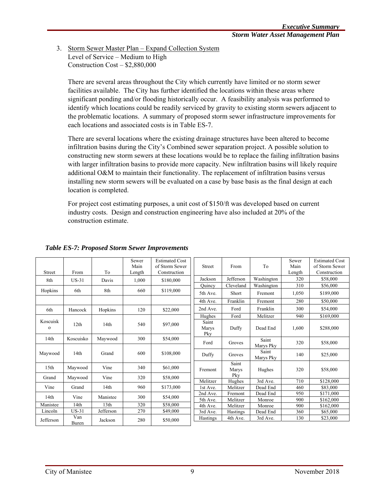3. Storm Sewer Master Plan – Expand Collection System Level of Service – Medium to High Construction Cost – \$2,880,000

There are several areas throughout the City which currently have limited or no storm sewer facilities available. The City has further identified the locations within these areas where significant ponding and/or flooding historically occur. A feasibility analysis was performed to identify which locations could be readily serviced by gravity to existing storm sewers adjacent to the problematic locations. A summary of proposed storm sewer infrastructure improvements for each locations and associated costs is in Table ES-7.

There are several locations where the existing drainage structures have been altered to become infiltration basins during the City's Combined sewer separation project. A possible solution to constructing new storm sewers at these locations would be to replace the failing infiltration basins with larger infiltration basins to provide more capacity. New infiltration basins will likely require additional O&M to maintain their functionality. The replacement of infiltration basins versus installing new storm sewers will be evaluated on a case by base basis as the final design at each location is completed.

For project cost estimating purposes, a unit cost of \$150/ft was developed based on current industry costs. Design and construction engineering have also included at 20% of the construction estimate.

| <b>Street</b>           | From         | To               | Sewer<br>Main<br>Length | <b>Estimated Cost</b><br>of Storm Sewer<br>Construction | <b>Street</b>         | From               | To                   | Sewer<br>Main<br>Length | <b>Estimated Cost</b><br>of Storm Sewer<br>Construction |
|-------------------------|--------------|------------------|-------------------------|---------------------------------------------------------|-----------------------|--------------------|----------------------|-------------------------|---------------------------------------------------------|
| 8th                     | $US-31$      | Davis            | 1.000                   | \$180,000                                               | Jackson               | Jefferson          | Washington           | 320                     | \$58,000                                                |
|                         |              |                  |                         |                                                         | Ouincy                | Cleveland          | Washington           | 310                     | \$56,000                                                |
| Hopkins                 | 6th          | 8th              | 660                     | \$119,000                                               | 5th Ave.              | Short              | Fremont              | 1,050                   | \$189,000                                               |
|                         |              |                  |                         |                                                         | 4th Ave.              | Franklin           | Fremont              | 280                     | \$50,000                                                |
| 6th                     | Hancock      | Hopkins          | 120                     | \$22,000                                                | 2nd Ave.              | Ford               | Franklin             | 300                     | \$54,000                                                |
|                         |              |                  |                         |                                                         | Hughes                | Ford               | Melitzer             | 940                     | \$169,000                                               |
| Koscuisk<br>$\mathbf O$ | 12th         | 14th             | 540                     | \$97,000                                                | Saint<br>Marys<br>Pky | Duffy              | Dead End             | 1,600                   | \$288,000                                               |
| 14 <sub>th</sub>        | Koscuisko    | Maywood          | 300                     | \$54,000                                                | Ford                  | Groves             | Saint<br>Marys Pky   | 320                     | \$58,000                                                |
| Maywood                 | 14th         | Grand            | 600                     | \$108,000                                               | Duffy                 | Groves             | Saint<br>Marys Pky   | 140                     | \$25,000                                                |
| 15 <sub>th</sub>        | Maywood      | Vine             | 340                     | \$61,000                                                | Fremont               | Saint<br>Marys     | Hughes               | 320                     | \$58,000                                                |
| Grand                   | Maywood      | Vine             | 320                     | \$58,000                                                | Melitzer              | Pky                |                      |                         |                                                         |
| Vine                    | Grand        | 14th             | 960                     | \$173,000                                               | 1st Ave.              | Hughes<br>Melitzer | 3rd Ave.<br>Dead End | 710<br>460              | \$128,000<br>\$83,000                                   |
|                         |              |                  |                         |                                                         | 2nd Ave.              | Fremont            | Dead End             | 950                     | \$171,000                                               |
| 14th                    | Vine         | Manistee         | 300                     | \$54,000                                                | 5th Ave.              | Melitzer           | Monroe               | 900                     | \$162,000                                               |
| Manistee                | 14th         | 13 <sub>th</sub> | 320                     | \$58,000                                                | 4th Ave.              | Melitzer           | Monroe               | 900                     | \$162,000                                               |
| Lincoln                 | US-31        | Jefferson        | 270                     | \$49,000                                                | 3rd Ave.              | Hastings           | Dead End             | 360                     | \$65,000                                                |
| Jefferson               | Van<br>Buren | Jackson          | 280                     | \$50,000                                                | Hastings              | 4th Ave.           | 3rd Ave.             | 130                     | \$23,000                                                |

#### *Table ES-7: Proposed Storm Sewer Improvements*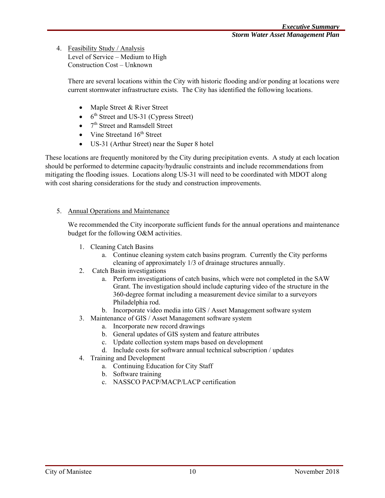4. Feasibility Study / Analysis

Level of Service – Medium to High Construction Cost – Unknown

There are several locations within the City with historic flooding and/or ponding at locations were current stormwater infrastructure exists. The City has identified the following locations.

- Maple Street & River Street
- $\bullet$  6<sup>th</sup> Street and US-31 (Cypress Street)
- $\bullet$   $7<sup>th</sup>$  Street and Ramsdell Street
- Vine Streetand  $16<sup>th</sup>$  Street
- US-31 (Arthur Street) near the Super 8 hotel

These locations are frequently monitored by the City during precipitation events. A study at each location should be performed to determine capacity/hydraulic constraints and include recommendations from mitigating the flooding issues. Locations along US-31 will need to be coordinated with MDOT along with cost sharing considerations for the study and construction improvements.

### 5. Annual Operations and Maintenance

We recommended the City incorporate sufficient funds for the annual operations and maintenance budget for the following O&M activities.

- 1. Cleaning Catch Basins
	- a. Continue cleaning system catch basins program. Currently the City performs cleaning of approximately 1/3 of drainage structures annually.
- 2. Catch Basin investigations
	- a. Perform investigations of catch basins, which were not completed in the SAW Grant. The investigation should include capturing video of the structure in the 360-degree format including a measurement device similar to a surveyors Philadelphia rod.
	- b. Incorporate video media into GIS / Asset Management software system
- 3. Maintenance of GIS / Asset Management software system
	- a. Incorporate new record drawings
	- b. General updates of GIS system and feature attributes
	- c. Update collection system maps based on development
	- d. Include costs for software annual technical subscription / updates
- 4. Training and Development
	- a. Continuing Education for City Staff
	- b. Software training
	- c. NASSCO PACP/MACP/LACP certification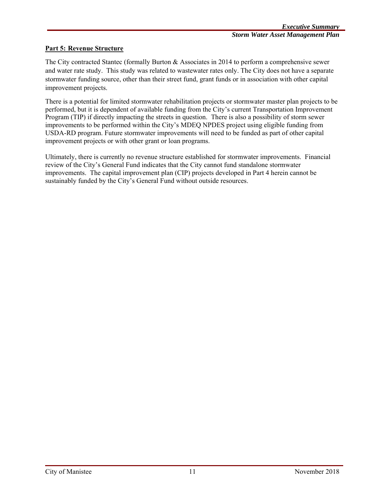## **Part 5: Revenue Structure**

The City contracted Stantec (formally Burton & Associates in 2014 to perform a comprehensive sewer and water rate study. This study was related to wastewater rates only. The City does not have a separate stormwater funding source, other than their street fund, grant funds or in association with other capital improvement projects.

There is a potential for limited stormwater rehabilitation projects or stormwater master plan projects to be performed, but it is dependent of available funding from the City's current Transportation Improvement Program (TIP) if directly impacting the streets in question. There is also a possibility of storm sewer improvements to be performed within the City's MDEQ NPDES project using eligible funding from USDA-RD program. Future stormwater improvements will need to be funded as part of other capital improvement projects or with other grant or loan programs.

Ultimately, there is currently no revenue structure established for stormwater improvements. Financial review of the City's General Fund indicates that the City cannot fund standalone stormwater improvements. The capital improvement plan (CIP) projects developed in Part 4 herein cannot be sustainably funded by the City's General Fund without outside resources.